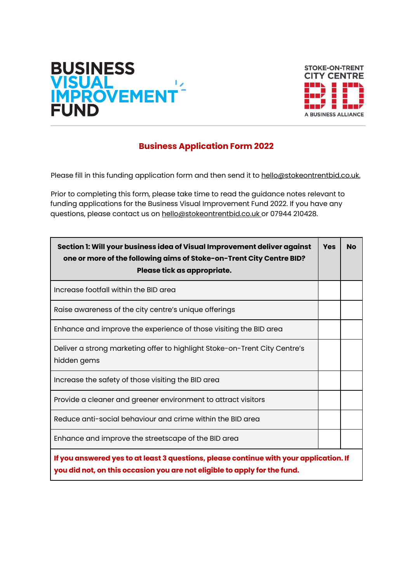



## **Business Application Form 2022**

Please fill in this funding application form and then send it to hello@stokeontrentbid.co.uk.

Prior to completing this form, please take time to read the guidance notes relevant to funding applications for the Business Visual Improvement Fund 2022. If you have any questions, please contact us on hello@stokeontrentbid.co.uk or 07944 210428.

| Section 1: Will your business idea of Visual Improvement deliver against<br>one or more of the following aims of Stoke-on-Trent City Centre BID?<br>Please tick as appropriate. | <b>Yes</b> | <b>No</b> |
|---------------------------------------------------------------------------------------------------------------------------------------------------------------------------------|------------|-----------|
| Increase footfall within the BID area                                                                                                                                           |            |           |
| Raise awareness of the city centre's unique offerings                                                                                                                           |            |           |
| Enhance and improve the experience of those visiting the BID area                                                                                                               |            |           |
| Deliver a strong marketing offer to highlight Stoke-on-Trent City Centre's<br>hidden gems                                                                                       |            |           |
| Increase the safety of those visiting the BID area                                                                                                                              |            |           |
| Provide a cleaner and greener environment to attract visitors                                                                                                                   |            |           |
| Reduce anti-social behaviour and crime within the BID area                                                                                                                      |            |           |
| Enhance and improve the streetscape of the BID area                                                                                                                             |            |           |
| If you answered yes to at least 3 questions, please continue with your application. If<br>you did not, on this occasion you are not eligible to apply for the fund.             |            |           |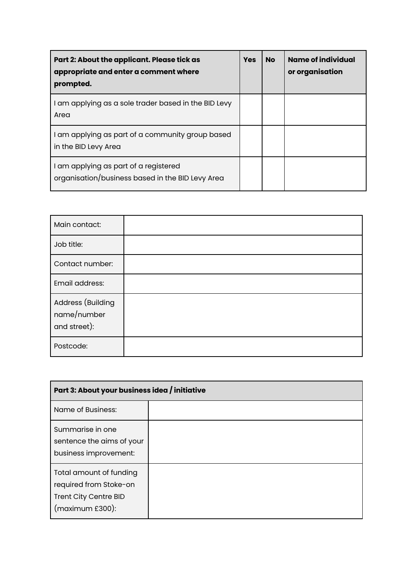| Part 2: About the applicant. Please tick as<br>appropriate and enter a comment where<br>prompted. | <b>Yes</b> | <b>No</b> | Name of individual<br>or organisation |
|---------------------------------------------------------------------------------------------------|------------|-----------|---------------------------------------|
| I am applying as a sole trader based in the BID Levy<br>Area                                      |            |           |                                       |
| I am applying as part of a community group based<br>in the BID Levy Area                          |            |           |                                       |
| I am applying as part of a registered<br>organisation/business based in the BID Levy Area         |            |           |                                       |

| Main contact:                                    |  |
|--------------------------------------------------|--|
| Job title:                                       |  |
| Contact number:                                  |  |
| Email address:                                   |  |
| Address (Building<br>name/number<br>and street): |  |
| Postcode:                                        |  |

| Part 3: About your business idea / initiative                                                 |  |  |
|-----------------------------------------------------------------------------------------------|--|--|
| Name of Business:                                                                             |  |  |
| Summarise in one<br>sentence the aims of your<br>business improvement:                        |  |  |
| Total amount of funding<br>required from Stoke-on<br>Trent City Centre BID<br>(maximum £300): |  |  |